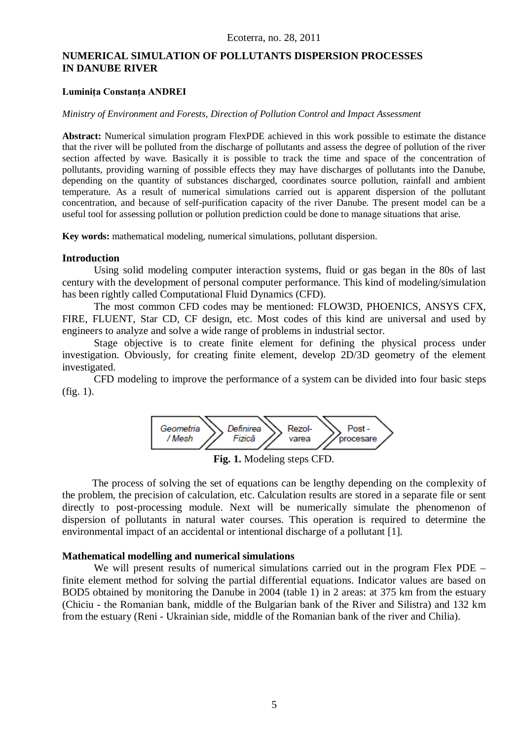# **NUMERICAL SIMULATION OF POLLUTANTS DISPERSION PROCESSES IN DANUBE RIVER**

#### **Luminiţa Constanţa ANDREI**

#### *Ministry of Environment and Forests, Direction of Pollution Control and Impact Assessment*

**Abstract:** Numerical simulation program FlexPDE achieved in this work possible to estimate the distance that the river will be polluted from the discharge of pollutants and assess the degree of pollution of the river section affected by wave. Basically it is possible to track the time and space of the concentration of pollutants, providing warning of possible effects they may have discharges of pollutants into the Danube, depending on the quantity of substances discharged, coordinates source pollution, rainfall and ambient temperature. As a result of numerical simulations carried out is apparent dispersion of the pollutant concentration, and because of self-purification capacity of the river Danube. The present model can be a useful tool for assessing pollution or pollution prediction could be done to manage situations that arise.

**Key words:** mathematical modeling, numerical simulations, pollutant dispersion.

#### **Introduction**

Using solid modeling computer interaction systems, fluid or gas began in the 80s of last century with the development of personal computer performance. This kind of modeling/simulation has been rightly called Computational Fluid Dynamics (CFD).

The most common CFD codes may be mentioned: FLOW3D, PHOENICS, ANSYS CFX, FIRE, FLUENT, Star CD, CF design, etc. Most codes of this kind are universal and used by engineers to analyze and solve a wide range of problems in industrial sector.

Stage objective is to create finite element for defining the physical process under investigation. Obviously, for creating finite element, develop 2D/3D geometry of the element investigated.

CFD modeling to improve the performance of a system can be divided into four basic steps (fig. 1).



The process of solving the set of equations can be lengthy depending on the complexity of the problem, the precision of calculation, etc. Calculation results are stored in a separate file or sent directly to post-processing module. Next will be numerically simulate the phenomenon of dispersion of pollutants in natural water courses. This operation is required to determine the environmental impact of an accidental or intentional discharge of a pollutant [1].

### **Mathematical modelling and numerical simulations**

We will present results of numerical simulations carried out in the program Flex PDE – finite element method for solving the partial differential equations. Indicator values are based on BOD5 obtained by monitoring the Danube in 2004 (table 1) in 2 areas: at 375 km from the estuary (Chiciu - the Romanian bank, middle of the Bulgarian bank of the River and Silistra) and 132 km from the estuary (Reni - Ukrainian side, middle of the Romanian bank of the river and Chilia).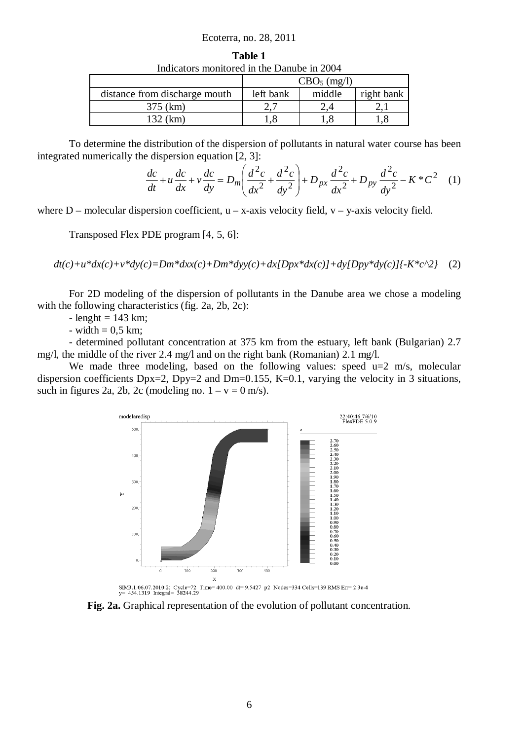#### Ecoterra, no. 28, 2011

| Indicators monitored in the Danube in 2004 |                         |        |            |
|--------------------------------------------|-------------------------|--------|------------|
|                                            | CBO <sub>5</sub> (mg/l) |        |            |
| distance from discharge mouth              | left bank               | middle | right bank |
| 375 (km)                                   |                         |        |            |
| 132 (km)                                   |                         |        |            |

**Table 1**

To determine the distribution of the dispersion of pollutants in natural water course has been integrated numerically the dispersion equation [2, 3]:

$$
\frac{dc}{dt} + u\frac{dc}{dx} + v\frac{dc}{dy} = D_m \left(\frac{d^2c}{dx^2} + \frac{d^2c}{dy^2}\right) + D_{px}\frac{d^2c}{dx^2} + D_{py}\frac{d^2c}{dy^2} - K^*C^2 \quad (1)
$$

where  $D$  – molecular dispersion coefficient,  $u - x$ -axis velocity field,  $v - y$ -axis velocity field.

Transposed Flex PDE program [4, 5, 6]:

 $dt(c)+u*dx(c)+v*dy(c)=Dm*dxx(c)+Dm*dyy(c)+dx(Dpx*dx(c))+dy(Dpy*dy(c)]{-K*c^2}$  (2)

For 2D modeling of the dispersion of pollutants in the Danube area we chose a modeling with the following characteristics (fig. 2a, 2b, 2c):

 $-$  lenght = 143 km;

- width  $= 0.5$  km;

- determined pollutant concentration at 375 km from the estuary, left bank (Bulgarian) 2.7 mg/l, the middle of the river 2.4 mg/l and on the right bank (Romanian) 2.1 mg/l.

We made three modeling, based on the following values: speed  $u=2$  m/s, molecular dispersion coefficients  $Dpx=2$ ,  $Dpy=2$  and  $Dm=0.155$ , K=0.1, varying the velocity in 3 situations, such in figures 2a, 2b, 2c (modeling no.  $1 - v = 0$  m/s).



**Fig. 2a.** Graphical representation of the evolution of pollutant concentration.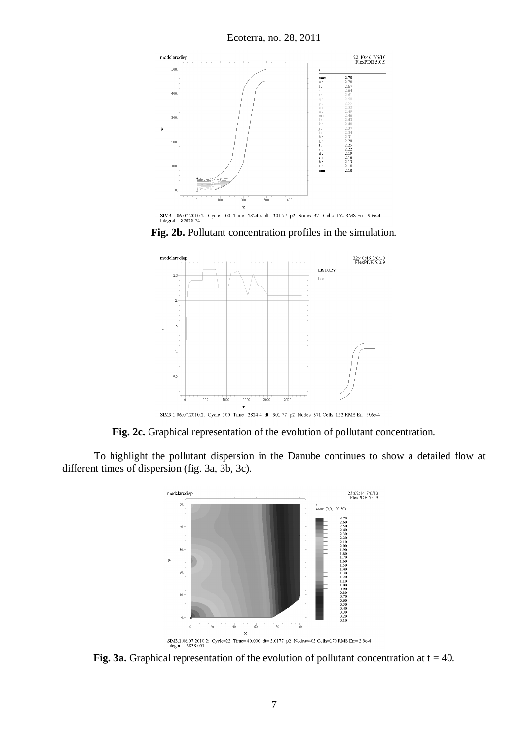Ecoterra, no. 28, 2011



**Fig. 2b.** Pollutant concentration profiles in the simulation.



**Fig. 2c.** Graphical representation of the evolution of pollutant concentration.

To highlight the pollutant dispersion in the Danube continues to show a detailed flow at different times of dispersion (fig. 3a, 3b, 3c).



**Fig. 3a.** Graphical representation of the evolution of pollutant concentration at  $t = 40$ .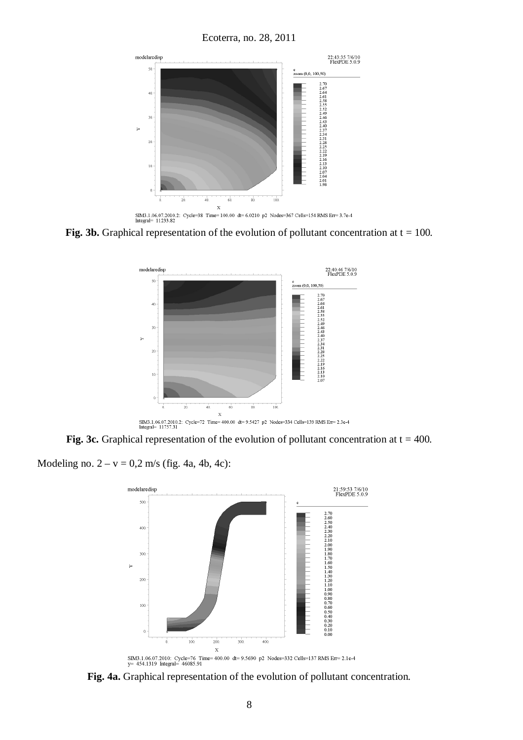

**Fig. 3b.** Graphical representation of the evolution of pollutant concentration at  $t = 100$ .



**Fig. 3c.** Graphical representation of the evolution of pollutant concentration at  $t = 400$ .

Modeling no.  $2 - v = 0.2$  m/s (fig. 4a, 4b, 4c):



**Fig. 4a.** Graphical representation of the evolution of pollutant concentration.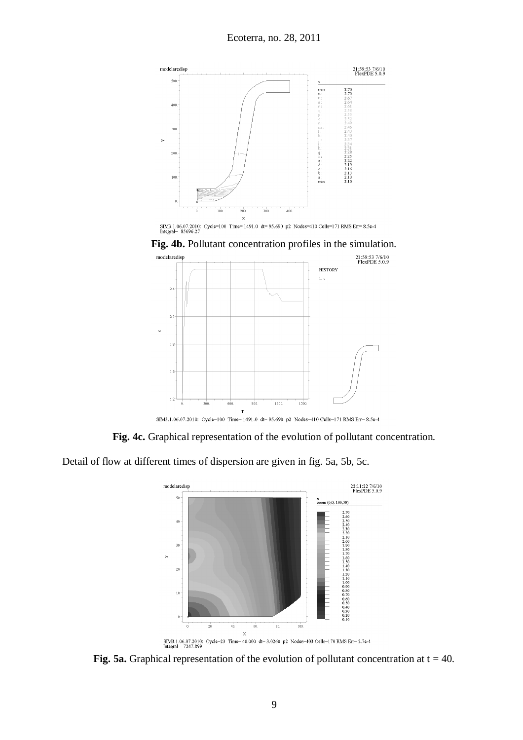

X<br>
SIM3.1.06.07.2010: Cycle=100 Time=1491.0 dt=95.690 p2 Nodes=410 Cells=171 RMS Err=8.5e-4<br>
Integral=85696.27





**Fig. 4c.** Graphical representation of the evolution of pollutant concentration.

Detail of flow at different times of dispersion are given in fig. 5a, 5b, 5c.



**Fig. 5a.** Graphical representation of the evolution of pollutant concentration at  $t = 40$ .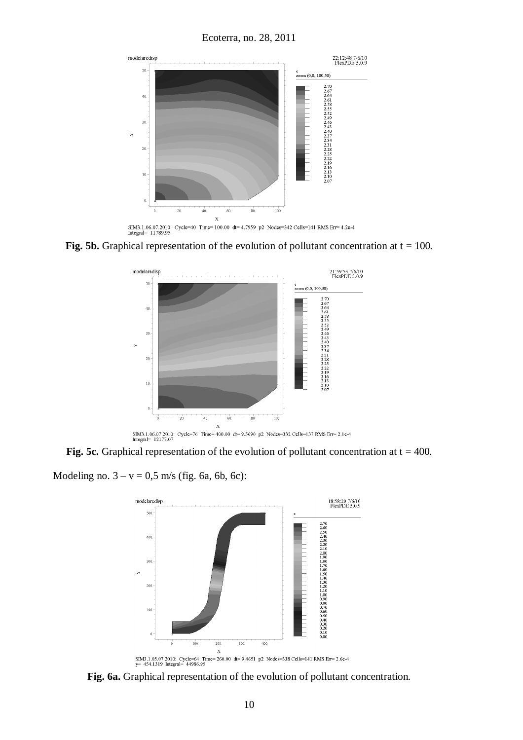

**Fig. 5b.** Graphical representation of the evolution of pollutant concentration at  $t = 100$ .



**Fig. 5c.** Graphical representation of the evolution of pollutant concentration at  $t = 400$ .

Modeling no.  $3 - v = 0.5$  m/s (fig. 6a, 6b, 6c):



**Fig. 6a.** Graphical representation of the evolution of pollutant concentration.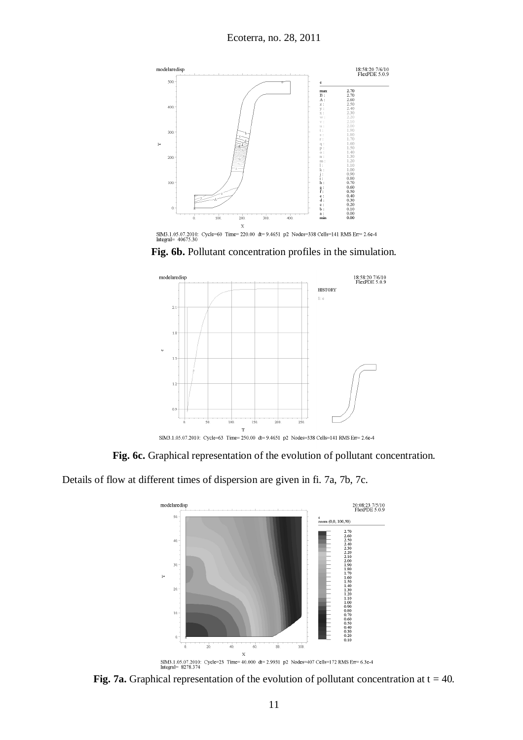

 $X$ <br>SIM3.1.05.07.2010: Cycle=60 Time= 220.00 dt= 9.4651 p2 Nodes=338 Cells=141 RMS Err= 2.6e-4 Integral= 40675.30

**Fig. 6b.** Pollutant concentration profiles in the simulation.



SIM3.1.05.07.2010: Cycle=63 Time=250.00 dt=9.4651 p2 Nodes=338 Cells=141 RMS Err=2.6e-4

**Fig. 6c.** Graphical representation of the evolution of pollutant concentration.

Details of flow at different times of dispersion are given in fi. 7a, 7b, 7c.



**Fig. 7a.** Graphical representation of the evolution of pollutant concentration at  $t = 40$ .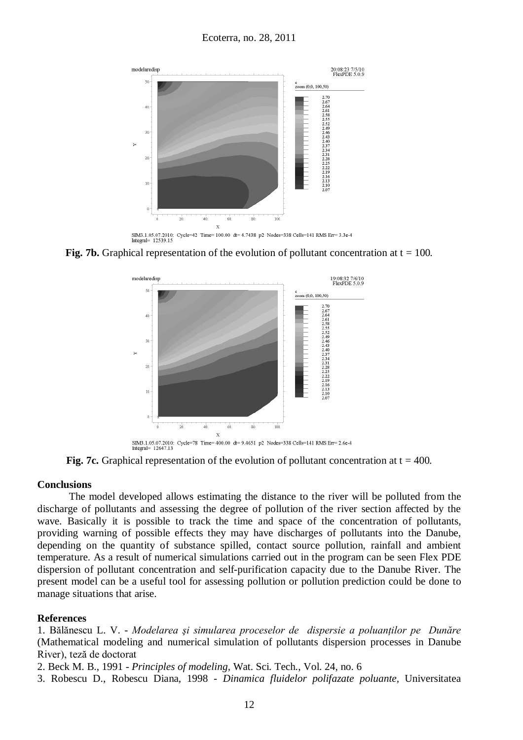

SIM3.1.05.07.2010: Cycle=42 Time=100.00 dt=4.7438 p2 Nodes=338 Cells=141 RMS Err=3.3e-4<br>Integral= 12539.15

**Fig. 7b.** Graphical representation of the evolution of pollutant concentration at  $t = 100$ .



**Fig. 7c.** Graphical representation of the evolution of pollutant concentration at  $t = 400$ .

### **Conclusions**

The model developed allows estimating the distance to the river will be polluted from the discharge of pollutants and assessing the degree of pollution of the river section affected by the wave. Basically it is possible to track the time and space of the concentration of pollutants, providing warning of possible effects they may have discharges of pollutants into the Danube, depending on the quantity of substance spilled, contact source pollution, rainfall and ambient temperature. As a result of numerical simulations carried out in the program can be seen Flex PDE dispersion of pollutant concentration and self-purification capacity due to the Danube River. The present model can be a useful tool for assessing pollution or pollution prediction could be done to manage situations that arise.

### **References**

1. Bălănescu L. V. - *Modelarea şi simularea proceselor de dispersie a poluanţilor pe Dunăre* (Mathematical modeling and numerical simulation of pollutants dispersion processes in Danube River), teză de doctorat

2. Beck M. B., 1991 - *Principles of modeling,* Wat. Sci. Tech., Vol. 24, no. 6

3. Robescu D., Robescu Diana, 1998 - *Dinamica fluidelor polifazate poluante,* Universitatea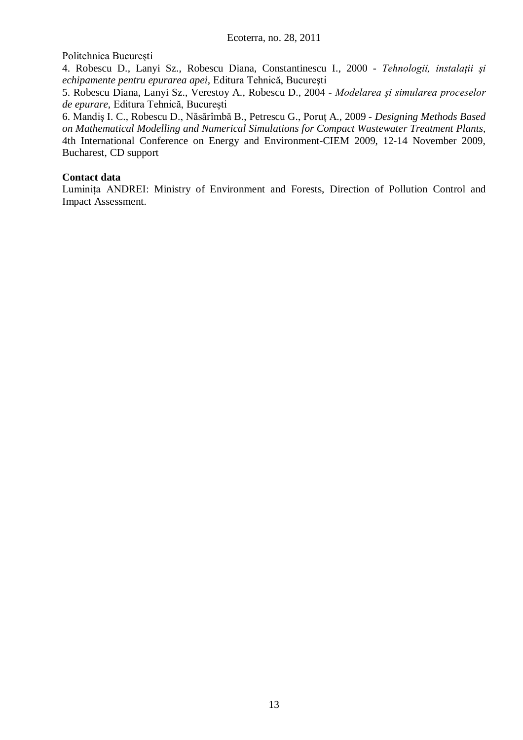Politehnica Bucureşti

4. Robescu D., Lanyi Sz., Robescu Diana, Constantinescu I., 2000 - *Tehnologii, instalaţii şi echipamente pentru epurarea apei,* Editura Tehnică, Bucureşti

5. Robescu Diana, Lanyi Sz., Verestoy A., Robescu D., 2004 - *Modelarea şi simularea proceselor de epurare,* Editura Tehnică, Bucureşti

6. Mandiş I. C., Robescu D., Năsărîmbă B., Petrescu G., Poruţ A., 2009 - *Designing Methods Based on Mathematical Modelling and Numerical Simulations for Compact Wastewater Treatment Plants,* 4th International Conference on Energy and Environment-CIEM 2009, 12-14 November 2009, Bucharest, CD support

## **Contact data**

Luminiţa ANDREI: Ministry of Environment and Forests, Direction of Pollution Control and Impact Assessment.